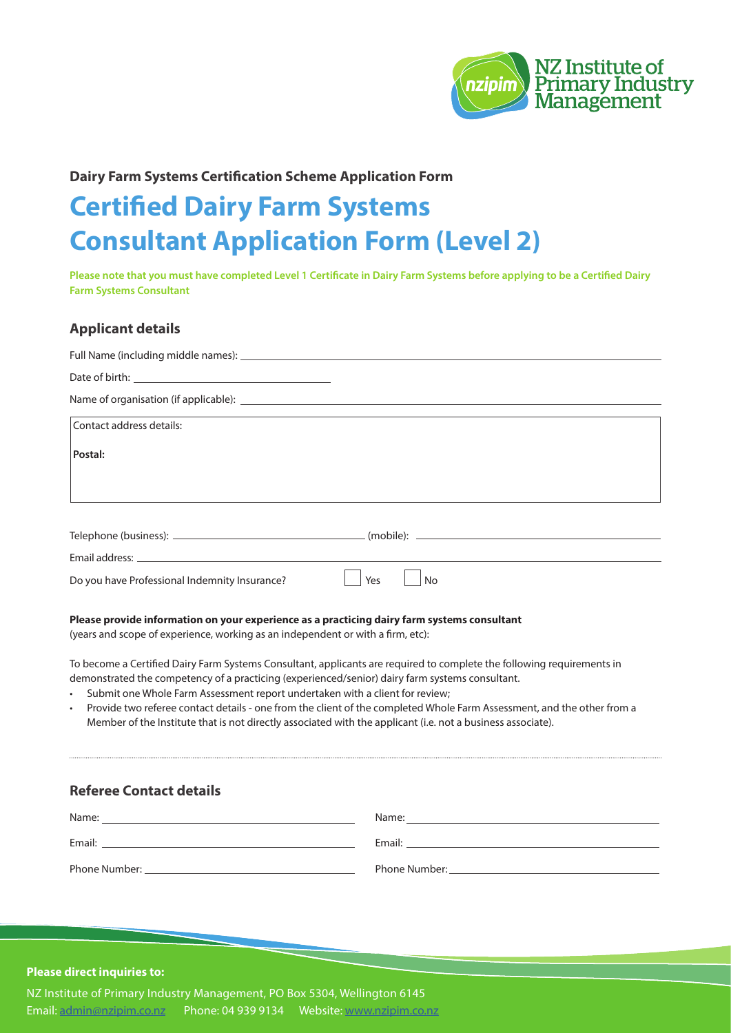

# **Dairy Farm Systems Certification Scheme Application Form**

# **Certified Dairy Farm Systems Consultant Application Form (Level 2)**

**Please note that you must have completed Level 1 Certificate in Dairy Farm Systems before applying to be a Certified Dairy Farm Systems Consultant** 

# **Applicant details**

| Contact address details:                      |           |
|-----------------------------------------------|-----------|
| Postal:                                       |           |
|                                               |           |
|                                               |           |
|                                               |           |
|                                               |           |
| Do you have Professional Indemnity Insurance? | Yes<br>No |

#### **Please provide information on your experience as a practicing dairy farm systems consultant**

(years and scope of experience, working as an independent or with a firm, etc):

To become a Certified Dairy Farm Systems Consultant, applicants are required to complete the following requirements in demonstrated the competency of a practicing (experienced/senior) dairy farm systems consultant.

- Submit one Whole Farm Assessment report undertaken with a client for review;
- Provide two referee contact details one from the client of the completed Whole Farm Assessment, and the other from a Member of the Institute that is not directly associated with the applicant (i.e. not a business associate).

### **Referee Contact details**

| Name:         | Name:         |
|---------------|---------------|
| Email:        | Email:        |
| Phone Number: | Phone Number: |

#### **Please direct inquiries to:**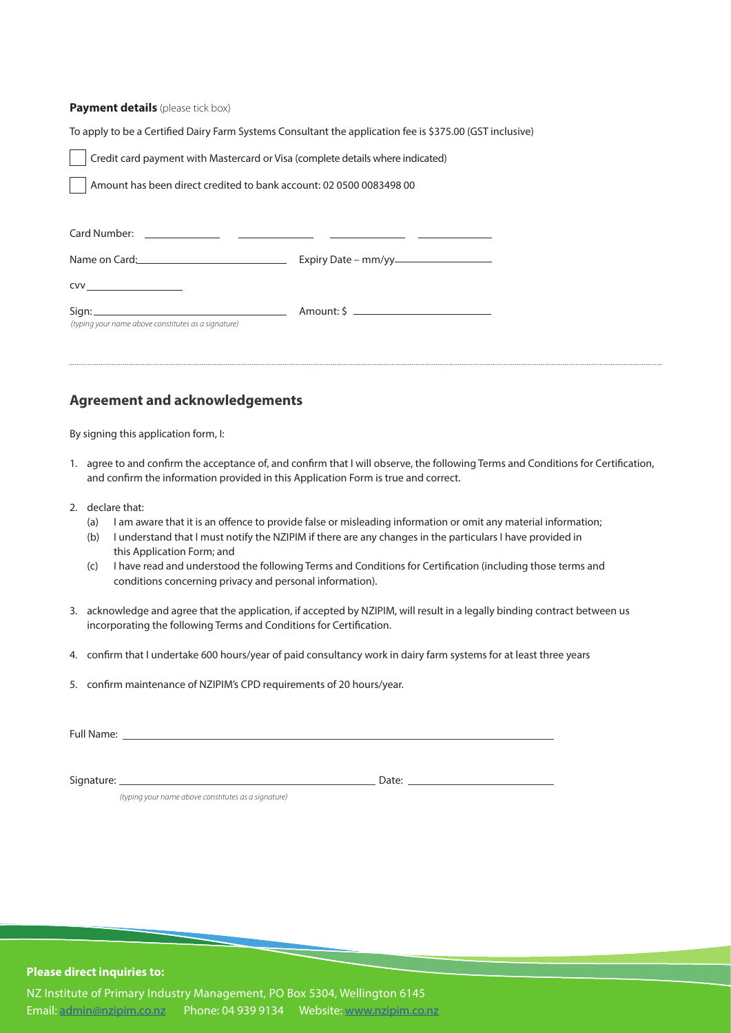#### **Payment details** (please tick box)

To apply to be a Certified Dairy Farm Systems Consultant the application fee is \$375.00 (GST inclusive)

| Credit card payment with Mastercard or Visa (complete details where indicated) |
|--------------------------------------------------------------------------------|
|--------------------------------------------------------------------------------|

Amount has been direct credited to bank account: 02 0500 0083498 00

| CVV                                                          |  |
|--------------------------------------------------------------|--|
| Sign:<br>(typing your name above constitutes as a signature) |  |

## **Agreement and acknowledgements**

By signing this application form, I:

- 1. agree to and confirm the acceptance of, and confirm that I will observe, the following Terms and Conditions for Certification, and confirm the information provided in this Application Form is true and correct.
- 2. declare that:
	- (a) I am aware that it is an offence to provide false or misleading information or omit any material information;
	- (b) I understand that I must notify the NZIPIM if there are any changes in the particulars I have provided in this Application Form; and
	- (c) I have read and understood the following Terms and Conditions for Certification (including those terms and conditions concerning privacy and personal information).
- 3. acknowledge and agree that the application, if accepted by NZIPIM, will result in a legally binding contract between us incorporating the following Terms and Conditions for Certification.
- 4. confirm that I undertake 600 hours/year of paid consultancy work in dairy farm systems for at least three years
- 5. confirm maintenance of NZIPIM's CPD requirements of 20 hours/year.

Full Name:

Signature: Date:

*(typing your name above constitutes as a signature)*

#### **Please direct inquiries to:**

NZ Institute of Primary Industry Management, PO Box 5304, Wellington 6145 Email: [admin@nzipim.co.nz](mailto:admin@nzipim.co.nz) Phone: 04 939 9134 Website:<www.nzipim.co.nz>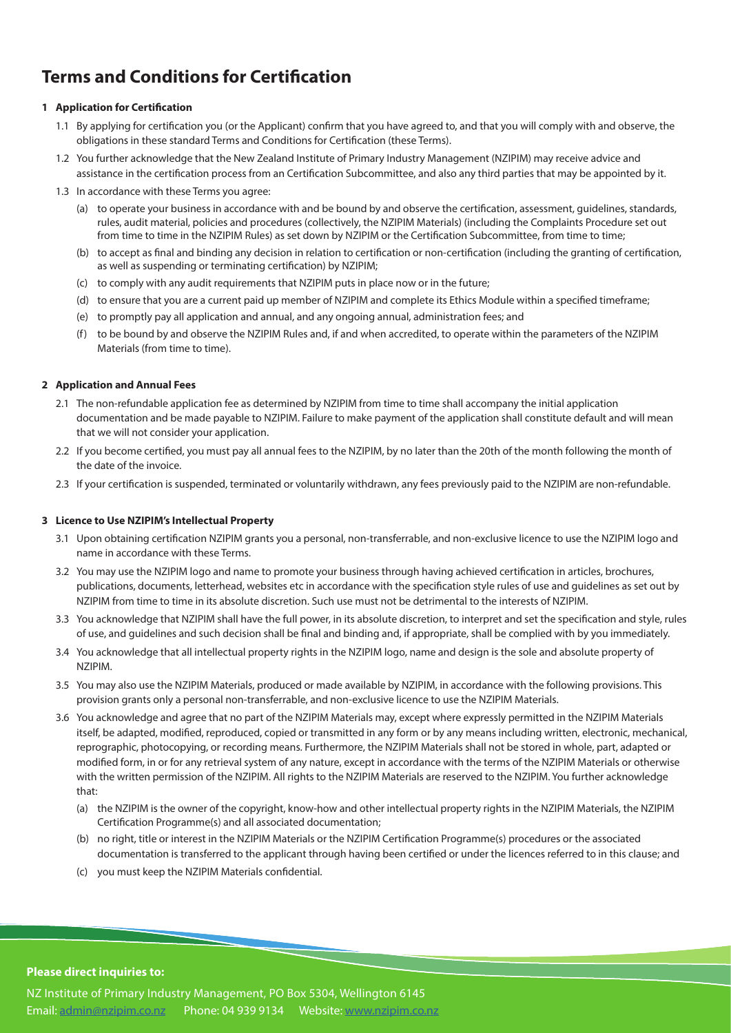# **Terms and Conditions for Certification**

#### **1 Application for Certification**

- 1.1 By applying for certification you (or the Applicant) confirm that you have agreed to, and that you will comply with and observe, the obligations in these standard Terms and Conditions for Certification (these Terms).
- 1.2 You further acknowledge that the New Zealand Institute of Primary Industry Management (NZIPIM) may receive advice and assistance in the certification process from an Certification Subcommittee, and also any third parties that may be appointed by it.
- 1.3 In accordance with these Terms you agree:
	- (a) to operate your business in accordance with and be bound by and observe the certification, assessment, guidelines, standards, rules, audit material, policies and procedures (collectively, the NZIPIM Materials) (including the Complaints Procedure set out from time to time in the NZIPIM Rules) as set down by NZIPIM or the Certification Subcommittee, from time to time;
	- (b) to accept as final and binding any decision in relation to certification or non-certification (including the granting of certification, as well as suspending or terminating certification) by NZIPIM;
	- (c) to comply with any audit requirements that NZIPIM puts in place now or in the future;
	- (d) to ensure that you are a current paid up member of NZIPIM and complete its Ethics Module within a specified timeframe;
	- (e) to promptly pay all application and annual, and any ongoing annual, administration fees; and
	- (f) to be bound by and observe the NZIPIM Rules and, if and when accredited, to operate within the parameters of the NZIPIM Materials (from time to time).

#### **2 Application and Annual Fees**

- 2.1 The non-refundable application fee as determined by NZIPIM from time to time shall accompany the initial application documentation and be made payable to NZIPIM. Failure to make payment of the application shall constitute default and will mean that we will not consider your application.
- 2.2 If you become certified, you must pay all annual fees to the NZIPIM, by no later than the 20th of the month following the month of the date of the invoice.
- 2.3 If your certification is suspended, terminated or voluntarily withdrawn, any fees previously paid to the NZIPIM are non-refundable.

#### **3 Licence to Use NZIPIM's Intellectual Property**

- 3.1 Upon obtaining certification NZIPIM grants you a personal, non-transferrable, and non-exclusive licence to use the NZIPIM logo and name in accordance with these Terms.
- 3.2 You may use the NZIPIM logo and name to promote your business through having achieved certification in articles, brochures, publications, documents, letterhead, websites etc in accordance with the specification style rules of use and guidelines as set out by NZIPIM from time to time in its absolute discretion. Such use must not be detrimental to the interests of NZIPIM.
- 3.3 You acknowledge that NZIPIM shall have the full power, in its absolute discretion, to interpret and set the specification and style, rules of use, and guidelines and such decision shall be final and binding and, if appropriate, shall be complied with by you immediately.
- 3.4 You acknowledge that all intellectual property rights in the NZIPIM logo, name and design is the sole and absolute property of NZIPIM.
- 3.5 You may also use the NZIPIM Materials, produced or made available by NZIPIM, in accordance with the following provisions. This provision grants only a personal non-transferrable, and non-exclusive licence to use the NZIPIM Materials.
- 3.6 You acknowledge and agree that no part of the NZIPIM Materials may, except where expressly permitted in the NZIPIM Materials itself, be adapted, modified, reproduced, copied or transmitted in any form or by any means including written, electronic, mechanical, reprographic, photocopying, or recording means. Furthermore, the NZIPIM Materials shall not be stored in whole, part, adapted or modified form, in or for any retrieval system of any nature, except in accordance with the terms of the NZIPIM Materials or otherwise with the written permission of the NZIPIM. All rights to the NZIPIM Materials are reserved to the NZIPIM. You further acknowledge that:
	- (a) the NZIPIM is the owner of the copyright, know-how and other intellectual property rights in the NZIPIM Materials, the NZIPIM Certification Programme(s) and all associated documentation;
	- (b) no right, title or interest in the NZIPIM Materials or the NZIPIM Certification Programme(s) procedures or the associated documentation is transferred to the applicant through having been certified or under the licences referred to in this clause; and
	- (c) you must keep the NZIPIM Materials confidential.

#### **Please direct inquiries to:**

NZ Institute of Primary Industry Management, PO Box 5304, Wellington 6145 Email: [admin@nzipim.co.nz](mailto:admin@nzipim.co.nz) Phone: 04 939 9134 Website:<www.nzipim.co.nz>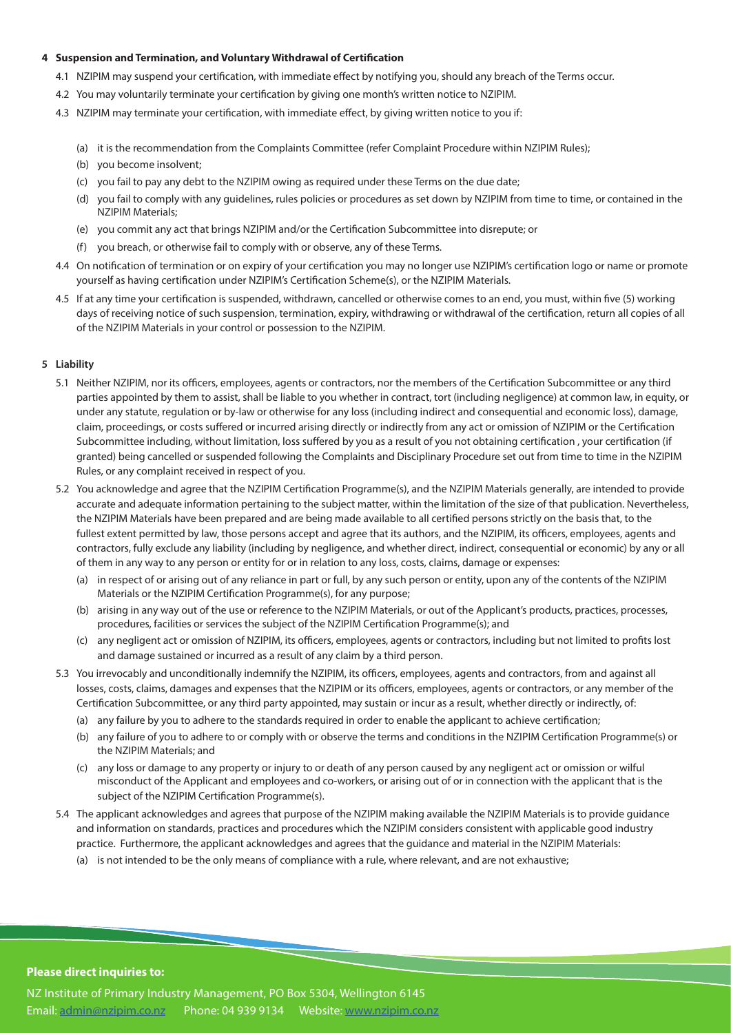#### **4 Suspension and Termination, and Voluntary Withdrawal of Certification**

- 4.1 NZIPIM may suspend your certification, with immediate effect by notifying you, should any breach of the Terms occur.
- 4.2 You may voluntarily terminate your certification by giving one month's written notice to NZIPIM.
- 4.3 NZIPIM may terminate your certification, with immediate effect, by giving written notice to you if:
	- (a) it is the recommendation from the Complaints Committee (refer Complaint Procedure within NZIPIM Rules);
	- (b) you become insolvent;
	- (c) you fail to pay any debt to the NZIPIM owing as required under these Terms on the due date;
	- (d) you fail to comply with any guidelines, rules policies or procedures as set down by NZIPIM from time to time, or contained in the NZIPIM Materials;
	- (e) you commit any act that brings NZIPIM and/or the Certification Subcommittee into disrepute; or
	- (f) you breach, or otherwise fail to comply with or observe, any of these Terms.
- 4.4 On notification of termination or on expiry of your certification you may no longer use NZIPIM's certification logo or name or promote yourself as having certification under NZIPIM's Certification Scheme(s), or the NZIPIM Materials.
- 4.5 If at any time your certification is suspended, withdrawn, cancelled or otherwise comes to an end, you must, within five (5) working days of receiving notice of such suspension, termination, expiry, withdrawing or withdrawal of the certification, return all copies of all of the NZIPIM Materials in your control or possession to the NZIPIM.

#### **5 Liability**

- 5.1 Neither NZIPIM, nor its officers, employees, agents or contractors, nor the members of the Certification Subcommittee or any third parties appointed by them to assist, shall be liable to you whether in contract, tort (including negligence) at common law, in equity, or under any statute, regulation or by-law or otherwise for any loss (including indirect and consequential and economic loss), damage, claim, proceedings, or costs suffered or incurred arising directly or indirectly from any act or omission of NZIPIM or the Certification Subcommittee including, without limitation, loss suffered by you as a result of you not obtaining certification , your certification (if granted) being cancelled or suspended following the Complaints and Disciplinary Procedure set out from time to time in the NZIPIM Rules, or any complaint received in respect of you.
- 5.2 You acknowledge and agree that the NZIPIM Certification Programme(s), and the NZIPIM Materials generally, are intended to provide accurate and adequate information pertaining to the subject matter, within the limitation of the size of that publication. Nevertheless, the NZIPIM Materials have been prepared and are being made available to all certified persons strictly on the basis that, to the fullest extent permitted by law, those persons accept and agree that its authors, and the NZIPIM, its officers, employees, agents and contractors, fully exclude any liability (including by negligence, and whether direct, indirect, consequential or economic) by any or all of them in any way to any person or entity for or in relation to any loss, costs, claims, damage or expenses:
	- (a) in respect of or arising out of any reliance in part or full, by any such person or entity, upon any of the contents of the NZIPIM Materials or the NZIPIM Certification Programme(s), for any purpose;
	- (b) arising in any way out of the use or reference to the NZIPIM Materials, or out of the Applicant's products, practices, processes, procedures, facilities or services the subject of the NZIPIM Certification Programme(s); and
	- (c) any negligent act or omission of NZIPIM, its officers, employees, agents or contractors, including but not limited to profits lost and damage sustained or incurred as a result of any claim by a third person.
- 5.3 You irrevocably and unconditionally indemnify the NZIPIM, its officers, employees, agents and contractors, from and against all losses, costs, claims, damages and expenses that the NZIPIM or its officers, employees, agents or contractors, or any member of the Certification Subcommittee, or any third party appointed, may sustain or incur as a result, whether directly or indirectly, of:
	- (a) any failure by you to adhere to the standards required in order to enable the applicant to achieve certification;
	- (b) any failure of you to adhere to or comply with or observe the terms and conditions in the NZIPIM Certification Programme(s) or the NZIPIM Materials; and
	- (c) any loss or damage to any property or injury to or death of any person caused by any negligent act or omission or wilful misconduct of the Applicant and employees and co-workers, or arising out of or in connection with the applicant that is the subject of the NZIPIM Certification Programme(s).
- 5.4 The applicant acknowledges and agrees that purpose of the NZIPIM making available the NZIPIM Materials is to provide guidance and information on standards, practices and procedures which the NZIPIM considers consistent with applicable good industry practice. Furthermore, the applicant acknowledges and agrees that the guidance and material in the NZIPIM Materials:
	- (a) is not intended to be the only means of compliance with a rule, where relevant, and are not exhaustive;

#### **Please direct inquiries to:**

NZ Institute of Primary Industry Management, PO Box 5304, Wellington 6145 Email: [admin@nzipim.co.nz](mailto:admin@nzipim.co.nz) Phone: 04 939 9134 Website:<www.nzipim.co.nz>